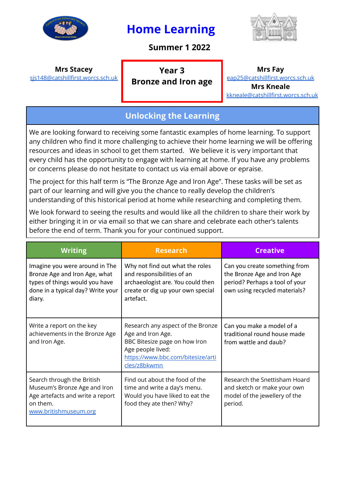

# **Home Learning**

# **Summer 1 2022**



### **Mrs Stacey**

[sjs148@catshillfirst.worcs.sch.uk](mailto:sjs148@catshillfirst.worcs.sch.uk)

### **Year 3 Bronze and Iron age**

#### **Mrs Fay**

[eap25@catshillfirst.worcs.sch.uk](mailto:eap25@catshillfirst.worcs.sch.uk) **Mrs Kneale** [kkneale@catshillfirst.worcs.sch.uk](mailto:kkneale@catshillfirst.worcs.sch.uk)

# **Unlocking the Learning**

We are looking forward to receiving some fantastic examples of home learning. To support any children who find it more challenging to achieve their home learning we will be offering resources and ideas in school to get them started. We believe it is very important that every child has the opportunity to engage with learning at home. If you have any problems or concerns please do not hesitate to contact us via email above or epraise.

The project for this half term is "The Bronze Age and Iron Age". These tasks will be set as part of our learning and will give you the chance to really develop the children's understanding of this historical period at home while researching and completing them.

We look forward to seeing the results and would like all the children to share their work by either bringing it in or via email so that we can share and celebrate each other's talents before the end of term. Thank you for your continued support.

| <b>Writing</b>                                                                                                                                   | <b>Research</b>                                                                                                                                                   | <b>Creative</b>                                                                                                                 |
|--------------------------------------------------------------------------------------------------------------------------------------------------|-------------------------------------------------------------------------------------------------------------------------------------------------------------------|---------------------------------------------------------------------------------------------------------------------------------|
| Imagine you were around in The<br>Bronze Age and Iron Age, what<br>types of things would you have<br>done in a typical day? Write your<br>diary. | Why not find out what the roles<br>and responsibilities of an<br>archaeologist are. You could then<br>create or dig up your own special<br>artefact.              | Can you create something from<br>the Bronze Age and Iron Age<br>period? Perhaps a tool of your<br>own using recycled materials? |
| Write a report on the key<br>achievements in the Bronze Age<br>and Iron Age.                                                                     | Research any aspect of the Bronze<br>Age and Iron Age.<br>BBC Bitesize page on how Iron<br>Age people lived:<br>https://www.bbc.com/bitesize/arti<br>cles/z8bkwmn | Can you make a model of a<br>traditional round house made<br>from wattle and daub?                                              |
| Search through the British<br>Museum's Bronze Age and Iron<br>Age artefacts and write a report<br>on them.<br>www.britishmuseum.org              | Find out about the food of the<br>time and write a day's menu.<br>Would you have liked to eat the<br>food they ate then? Why?                                     | Research the Snettisham Hoard<br>and sketch or make your own<br>model of the jewellery of the<br>period.                        |